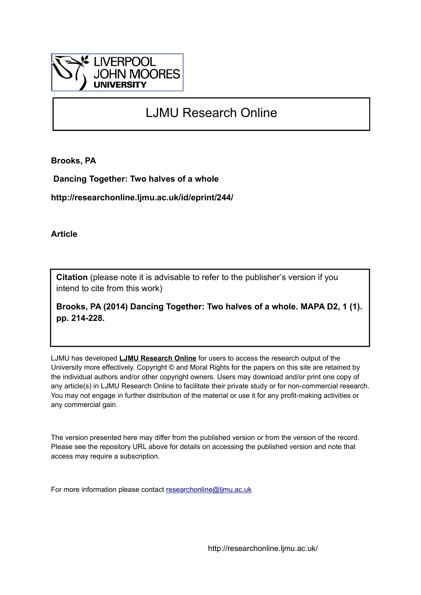

## LJMU Research Online

**Brooks, PA**

 **Dancing Together: Two halves of a whole**

**http://researchonline.ljmu.ac.uk/id/eprint/244/**

**Article**

**Citation** (please note it is advisable to refer to the publisher's version if you intend to cite from this work)

**Brooks, PA (2014) Dancing Together: Two halves of a whole. MAPA D2, 1 (1). pp. 214-228.** 

LJMU has developed **[LJMU Research Online](http://researchonline.ljmu.ac.uk/)** for users to access the research output of the University more effectively. Copyright © and Moral Rights for the papers on this site are retained by the individual authors and/or other copyright owners. Users may download and/or print one copy of any article(s) in LJMU Research Online to facilitate their private study or for non-commercial research. You may not engage in further distribution of the material or use it for any profit-making activities or any commercial gain.

The version presented here may differ from the published version or from the version of the record. Please see the repository URL above for details on accessing the published version and note that access may require a subscription.

For more information please contact [researchonline@ljmu.ac.uk](mailto:researchonline@ljmu.ac.uk)

http://researchonline.ljmu.ac.uk/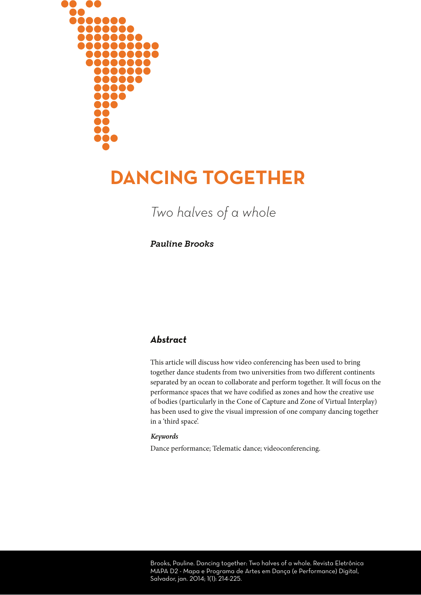

# **DANCING TOGETHER**

*Two halves of a whole*

*Pauline Brooks*

## *Abstract*

This article will discuss how video conferencing has been used to bring together dance students from two universities from two different continents separated by an ocean to collaborate and perform together. It will focus on the performance spaces that we have codified as zones and how the creative use of bodies (particularly in the Cone of Capture and Zone of Virtual Interplay) has been used to give the visual impression of one company dancing together in a 'third space'.

#### *Keywords*

Dance performance; Telematic dance; videoconferencing.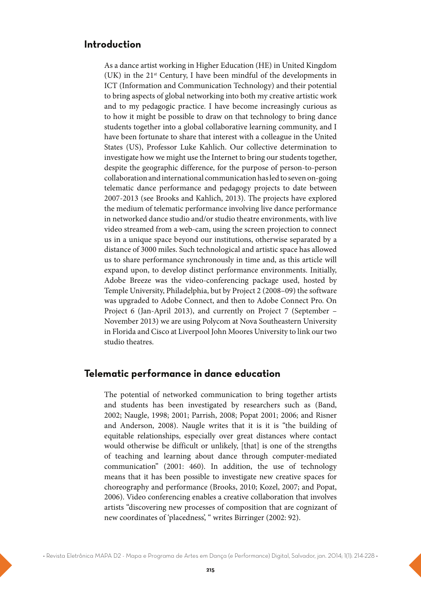#### **Introduction**

As a dance artist working in Higher Education (HE) in United Kingdom (UK) in the 21st Century, I have been mindful of the developments in ICT (Information and Communication Technology) and their potential to bring aspects of global networking into both my creative artistic work and to my pedagogic practice. I have become increasingly curious as to how it might be possible to draw on that technology to bring dance students together into a global collaborative learning community, and I have been fortunate to share that interest with a colleague in the United States (US), Professor Luke Kahlich. Our collective determination to investigate how we might use the Internet to bring our students together, despite the geographic difference, for the purpose of person-to-person collaboration and international communication has led to seven on-going telematic dance performance and pedagogy projects to date between 2007-2013 (see Brooks and Kahlich, 2013). The projects have explored the medium of telematic performance involving live dance performance in networked dance studio and/or studio theatre environments, with live video streamed from a web-cam, using the screen projection to connect us in a unique space beyond our institutions, otherwise separated by a distance of 3000 miles. Such technological and artistic space has allowed us to share performance synchronously in time and, as this article will expand upon, to develop distinct performance environments. Initially, Adobe Breeze was the video-conferencing package used, hosted by Temple University, Philadelphia, but by Project 2 (2008–09) the software was upgraded to Adobe Connect, and then to Adobe Connect Pro. On Project 6 (Jan-April 2013), and currently on Project 7 (September – November 2013) we are using Polycom at Nova Southeastern University in Florida and Cisco at Liverpool John Moores University to link our two studio theatres.

#### **Telematic performance in dance education**

The potential of networked communication to bring together artists and students has been investigated by researchers such as (Band, 2002; Naugle, 1998; 2001; Parrish, 2008; Popat 2001; 2006; and Risner and Anderson, 2008). Naugle writes that it is it is "the building of equitable relationships, especially over great distances where contact would otherwise be difficult or unlikely, [that] is one of the strengths of teaching and learning about dance through computer-mediated communication" (2001: 460). In addition, the use of technology means that it has been possible to investigate new creative spaces for choreography and performance (Brooks, 2010; Kozel, 2007; and Popat, 2006). Video conferencing enables a creative collaboration that involves artists "discovering new processes of composition that are cognizant of new coordinates of 'placedness', " writes Birringer (2002: 92).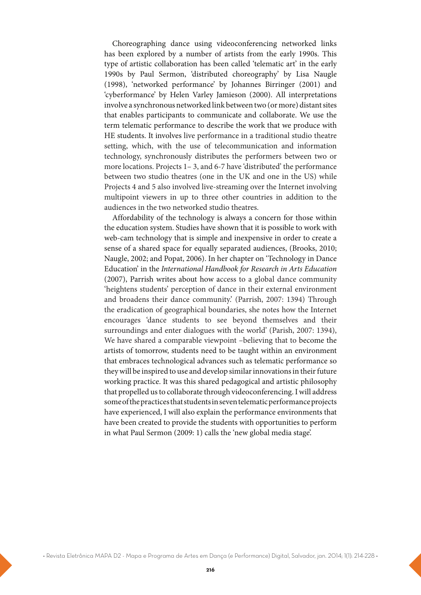Choreographing dance using videoconferencing networked links has been explored by a number of artists from the early 1990s. This type of artistic collaboration has been called 'telematic art' in the early 1990s by Paul Sermon, 'distributed choreography' by Lisa Naugle (1998), 'networked performance' by Johannes Birringer (2001) and 'cyberformance' by Helen Varley Jamieson (2000). All interpretations involve a synchronous networked link between two (or more) distant sites that enables participants to communicate and collaborate. We use the term telematic performance to describe the work that we produce with HE students. It involves live performance in a traditional studio theatre setting, which, with the use of telecommunication and information technology, synchronously distributes the performers between two or more locations. Projects 1– 3, and 6-7 have 'distributed' the performance between two studio theatres (one in the UK and one in the US) while Projects 4 and 5 also involved live-streaming over the Internet involving multipoint viewers in up to three other countries in addition to the audiences in the two networked studio theatres.

Affordability of the technology is always a concern for those within the education system. Studies have shown that it is possible to work with web-cam technology that is simple and inexpensive in order to create a sense of a shared space for equally separated audiences, (Brooks, 2010; Naugle, 2002; and Popat, 2006). In her chapter on 'Technology in Dance Education' in the International Handbook for Research in Arts Education (2007), Parrish writes about how access to a global dance community 'heightens students' perception of dance in their external environment and broadens their dance community.' (Parrish, 2007: 1394) Through the eradication of geographical boundaries, she notes how the Internet encourages 'dance students to see beyond themselves and their surroundings and enter dialogues with the world' (Parish, 2007: 1394), We have shared a comparable viewpoint –believing that to become the artists of tomorrow, students need to be taught within an environment that embraces technological advances such as telematic performance so they will be inspired to use and develop similar innovations in their future working practice. It was this shared pedagogical and artistic philosophy that propelled us to collaborate through videoconferencing. I will address some of the practices that students in seven telematic performance projects have experienced, I will also explain the performance environments that have been created to provide the students with opportunities to perform in what Paul Sermon (2009: 1) calls the 'new global media stage'.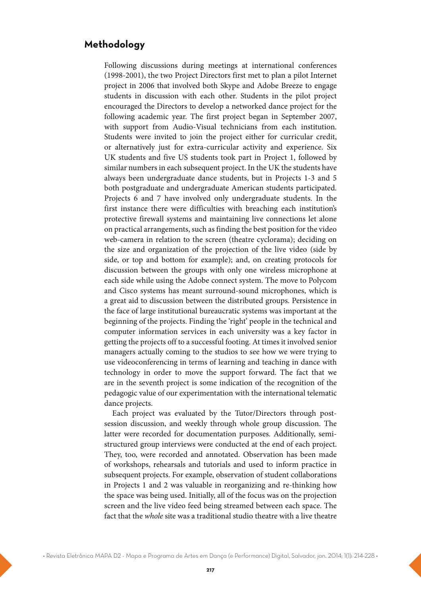## **Methodology**

Following discussions during meetings at international conferences (1998-2001), the two Project Directors first met to plan a pilot Internet project in 2006 that involved both Skype and Adobe Breeze to engage students in discussion with each other. Students in the pilot project encouraged the Directors to develop a networked dance project for the following academic year. The first project began in September 2007, with support from Audio-Visual technicians from each institution. Students were invited to join the project either for curricular credit, or alternatively just for extra-curricular activity and experience. Six UK students and five US students took part in Project 1, followed by similar numbers in each subsequent project. In the UK the students have always been undergraduate dance students, but in Projects 1-3 and 5 both postgraduate and undergraduate American students participated. Projects 6 and 7 have involved only undergraduate students. In the first instance there were difficulties with breaching each institution's protective firewall systems and maintaining live connections let alone on practical arrangements, such as finding the best position for the video web-camera in relation to the screen (theatre cyclorama); deciding on the size and organization of the projection of the live video (side by side, or top and bottom for example); and, on creating protocols for discussion between the groups with only one wireless microphone at each side while using the Adobe connect system. The move to Polycom and Cisco systems has meant surround-sound microphones, which is a great aid to discussion between the distributed groups. Persistence in the face of large institutional bureaucratic systems was important at the beginning of the projects. Finding the 'right' people in the technical and computer information services in each university was a key factor in getting the projects off to a successful footing. At times it involved senior managers actually coming to the studios to see how we were trying to use videoconferencing in terms of learning and teaching in dance with technology in order to move the support forward. The fact that we are in the seventh project is some indication of the recognition of the pedagogic value of our experimentation with the international telematic dance projects.

Each project was evaluated by the Tutor/Directors through postsession discussion, and weekly through whole group discussion. The latter were recorded for documentation purposes. Additionally, semistructured group interviews were conducted at the end of each project. They, too, were recorded and annotated. Observation has been made of workshops, rehearsals and tutorials and used to inform practice in subsequent projects. For example, observation of student collaborations in Projects 1 and 2 was valuable in reorganizing and re-thinking how the space was being used. Initially, all of the focus was on the projection screen and the live video feed being streamed between each space. The fact that the whole site was a traditional studio theatre with a live theatre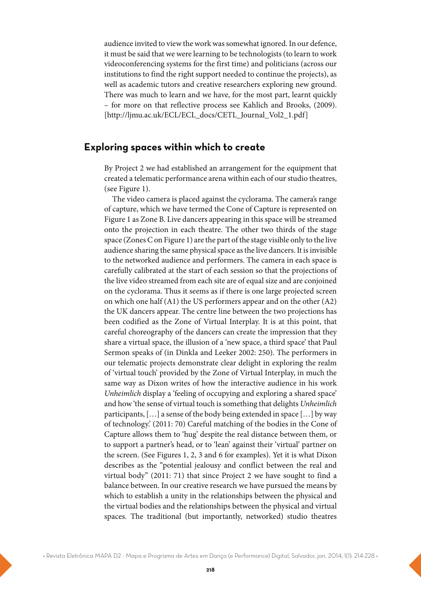audience invited to view the work was somewhat ignored. In our defence, it must be said that we were learning to be technologists (to learn to work videoconferencing systems for the first time) and politicians (across our institutions to find the right support needed to continue the projects), as well as academic tutors and creative researchers exploring new ground. There was much to learn and we have, for the most part, learnt quickly – for more on that reflective process see Kahlich and Brooks, (2009). [http://ljmu.ac.uk/ECL/ECL\_docs/CETL\_Journal\_Vol2\_1.pdf]

#### **Exploring spaces within which to create**

By Project 2 we had established an arrangement for the equipment that created a telematic performance arena within each of our studio theatres, (see Figure 1).

The video camera is placed against the cyclorama. The camera's range of capture, which we have termed the Cone of Capture is represented on Figure 1 as Zone B. Live dancers appearing in this space will be streamed onto the projection in each theatre. The other two thirds of the stage space (Zones C on Figure 1) are the part of the stage visible only to the live audience sharing the same physical space as the live dancers. It is invisible to the networked audience and performers. The camera in each space is carefully calibrated at the start of each session so that the projections of the live video streamed from each site are of equal size and are conjoined on the cyclorama. Thus it seems as if there is one large projected screen on which one half (A1) the US performers appear and on the other (A2) the UK dancers appear. The centre line between the two projections has been codified as the Zone of Virtual Interplay. It is at this point, that careful choreography of the dancers can create the impression that they share a virtual space, the illusion of a 'new space, a third space' that Paul Sermon speaks of (in Dinkla and Leeker 2002: 250). The performers in our telematic projects demonstrate clear delight in exploring the realm of 'virtual touch' provided by the Zone of Virtual Interplay, in much the same way as Dixon writes of how the interactive audience in his work Unheimlich display a 'feeling of occupying and exploring a shared space' and how 'the sense of virtual touch is something that delights Unheimlich participants, […] a sense of the body being extended in space […] by way of technology.' (2011: 70) Careful matching of the bodies in the Cone of Capture allows them to 'hug' despite the real distance between them, or to support a partner's head, or to 'lean' against their 'virtual' partner on the screen. (See Figures 1, 2, 3 and 6 for examples). Yet it is what Dixon describes as the "potential jealousy and conflict between the real and virtual body" (2011: 71) that since Project 2 we have sought to find a balance between. In our creative research we have pursued the means by which to establish a unity in the relationships between the physical and the virtual bodies and the relationships between the physical and virtual spaces. The traditional (but importantly, networked) studio theatres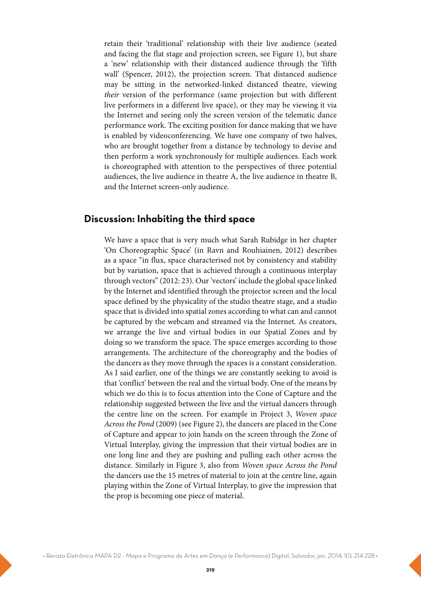retain their 'traditional' relationship with their live audience (seated and facing the flat stage and projection screen, see Figure 1), but share a 'new' relationship with their distanced audience through the 'fifth wall' (Spencer, 2012), the projection screen. That distanced audience may be sitting in the networked-linked distanced theatre, viewing their version of the performance (same projection but with different live performers in a different live space), or they may be viewing it via the Internet and seeing only the screen version of the telematic dance performance work. The exciting position for dance making that we have is enabled by videoconferencing. We have one company of two halves, who are brought together from a distance by technology to devise and then perform a work synchronously for multiple audiences. Each work is choreographed with attention to the perspectives of three potential audiences, the live audience in theatre A, the live audience in theatre B, and the Internet screen-only audience.

#### **Discussion: Inhabiting the third space**

We have a space that is very much what Sarah Rubidge in her chapter 'On Choreographic Space' (in Ravn and Rouhiainen, 2012) describes as a space "in flux, space characterised not by consistency and stability but by variation, space that is achieved through a continuous interplay through vectors" (2012: 23). Our 'vectors' include the global space linked by the Internet and identified through the projector screen and the local space defined by the physicality of the studio theatre stage, and a studio space that is divided into spatial zones according to what can and cannot be captured by the webcam and streamed via the Internet. As creators, we arrange the live and virtual bodies in our Spatial Zones and by doing so we transform the space. The space emerges according to those arrangements. The architecture of the choreography and the bodies of the dancers as they move through the spaces is a constant consideration. As I said earlier, one of the things we are constantly seeking to avoid is that 'conflict' between the real and the virtual body. One of the means by which we do this is to focus attention into the Cone of Capture and the relationship suggested between the live and the virtual dancers through the centre line on the screen. For example in Project 3, Woven space Across the Pond (2009) (see Figure 2), the dancers are placed in the Cone of Capture and appear to join hands on the screen through the Zone of Virtual Interplay, giving the impression that their virtual bodies are in one long line and they are pushing and pulling each other across the distance. Similarly in Figure 3, also from Woven space Across the Pond the dancers use the 15 metres of material to join at the centre line, again playing within the Zone of Virtual Interplay, to give the impression that the prop is becoming one piece of material.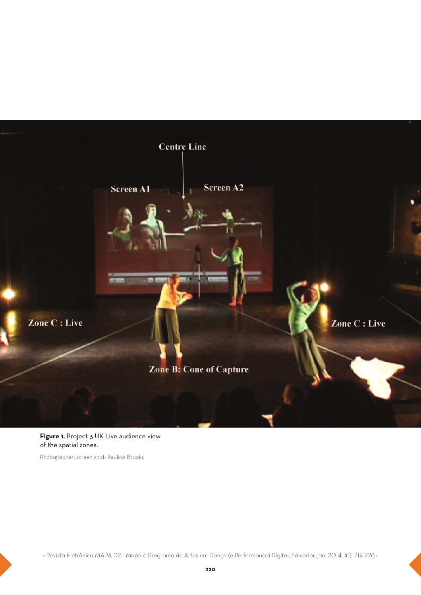

**Figure 1.** Project 3 UK Live audience view of the spatial zones.

Photographer: screen shot- Pauline Brooks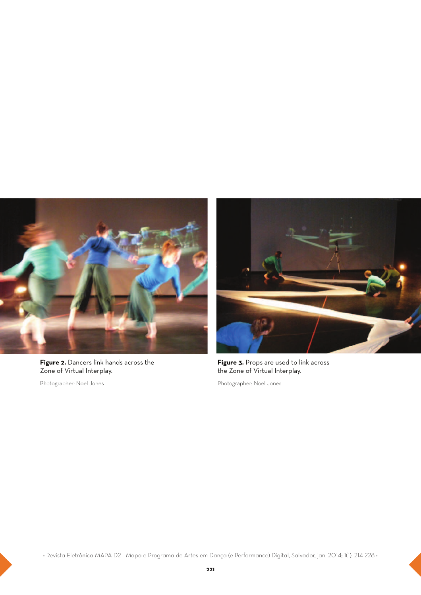

**Figure 2.** Dancers link hands across the Zone of Virtual Interplay.

Photographer: Noel Jones



**Figure 3.** Props are used to link across the Zone of Virtual Interplay.

Photographer: Noel Jones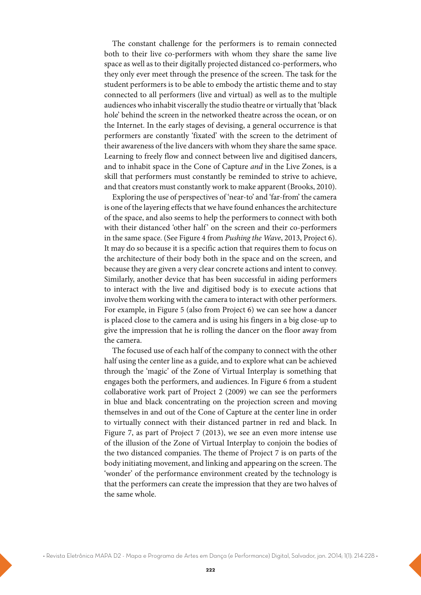The constant challenge for the performers is to remain connected both to their live co-performers with whom they share the same live space as well as to their digitally projected distanced co-performers, who they only ever meet through the presence of the screen. The task for the student performers is to be able to embody the artistic theme and to stay connected to all performers (live and virtual) as well as to the multiple audiences who inhabit viscerally the studio theatre or virtually that 'black hole' behind the screen in the networked theatre across the ocean, or on the Internet. In the early stages of devising, a general occurrence is that performers are constantly 'fixated' with the screen to the detriment of their awareness of the live dancers with whom they share the same space. Learning to freely flow and connect between live and digitised dancers, and to inhabit space in the Cone of Capture and in the Live Zones, is a skill that performers must constantly be reminded to strive to achieve, and that creators must constantly work to make apparent (Brooks, 2010).

Exploring the use of perspectives of 'near-to' and 'far-from' the camera is one of the layering effects that we have found enhances the architecture of the space, and also seems to help the performers to connect with both with their distanced 'other half' on the screen and their co-performers in the same space. (See Figure 4 from Pushing the Wave, 2013, Project 6). It may do so because it is a specific action that requires them to focus on the architecture of their body both in the space and on the screen, and because they are given a very clear concrete actions and intent to convey. Similarly, another device that has been successful in aiding performers to interact with the live and digitised body is to execute actions that involve them working with the camera to interact with other performers. For example, in Figure 5 (also from Project 6) we can see how a dancer is placed close to the camera and is using his fingers in a big close-up to give the impression that he is rolling the dancer on the floor away from the camera.

The focused use of each half of the company to connect with the other half using the center line as a guide, and to explore what can be achieved through the 'magic' of the Zone of Virtual Interplay is something that engages both the performers, and audiences. In Figure 6 from a student collaborative work part of Project 2 (2009) we can see the performers in blue and black concentrating on the projection screen and moving themselves in and out of the Cone of Capture at the center line in order to virtually connect with their distanced partner in red and black. In Figure 7, as part of Project 7 (2013), we see an even more intense use of the illusion of the Zone of Virtual Interplay to conjoin the bodies of the two distanced companies. The theme of Project 7 is on parts of the body initiating movement, and linking and appearing on the screen. The 'wonder' of the performance environment created by the technology is that the performers can create the impression that they are two halves of the same whole.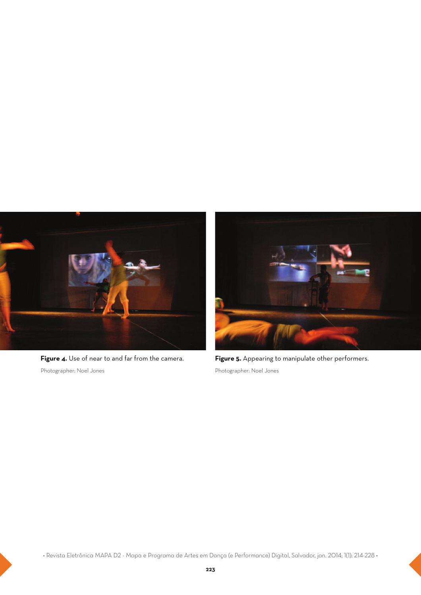

**Figure 4.** Use of near to and far from the camera. Photographer: Noel Jones



**Figure 5.** Appearing to manipulate other performers. Photographer: Noel Jones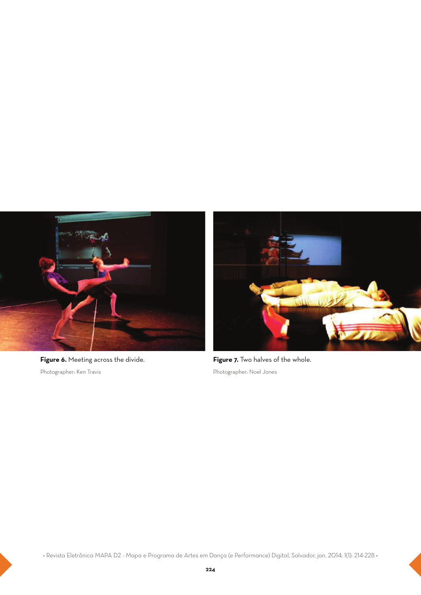

**Figure 6.** Meeting across the divide. Photographer: Ken Travis



**Figure 7.** Two halves of the whole. Photographer: Noel Jones

**·** Revista Eletrônica MAPA D2 - Mapa e Programa de Artes em Dança (e Performance) Digital, Salvador, jan. 2014; 1(1): 214-228 **·**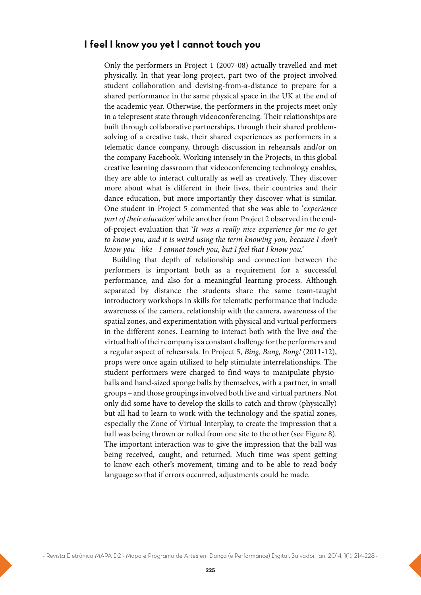#### **I feel I know you yet I cannot touch you**

Only the performers in Project 1 (2007-08) actually travelled and met physically. In that year-long project, part two of the project involved student collaboration and devising-from-a-distance to prepare for a shared performance in the same physical space in the UK at the end of the academic year. Otherwise, the performers in the projects meet only in a telepresent state through videoconferencing. Their relationships are built through collaborative partnerships, through their shared problemsolving of a creative task, their shared experiences as performers in a telematic dance company, through discussion in rehearsals and/or on the company Facebook. Working intensely in the Projects, in this global creative learning classroom that videoconferencing technology enables, they are able to interact culturally as well as creatively. They discover more about what is different in their lives, their countries and their dance education, but more importantly they discover what is similar. One student in Project 5 commented that she was able to 'experience part of their education' while another from Project 2 observed in the endof-project evaluation that 'It was a really nice experience for me to get to know you, and it is weird using the term knowing you, because I don't know you - like - I cannot touch you, but I feel that I know you.'

Building that depth of relationship and connection between the performers is important both as a requirement for a successful performance, and also for a meaningful learning process. Although separated by distance the students share the same team-taught introductory workshops in skills for telematic performance that include awareness of the camera, relationship with the camera, awareness of the spatial zones, and experimentation with physical and virtual performers in the different zones. Learning to interact both with the live and the virtual half of their company is a constant challenge for the performers and a regular aspect of rehearsals. In Project 5, Bing, Bang, Bong! (2011-12), props were once again utilized to help stimulate interrelationships. The student performers were charged to find ways to manipulate physioballs and hand-sized sponge balls by themselves, with a partner, in small groups – and those groupings involved both live and virtual partners. Not only did some have to develop the skills to catch and throw (physically) but all had to learn to work with the technology and the spatial zones, especially the Zone of Virtual Interplay, to create the impression that a ball was being thrown or rolled from one site to the other (see Figure 8). The important interaction was to give the impression that the ball was being received, caught, and returned. Much time was spent getting to know each other's movement, timing and to be able to read body language so that if errors occurred, adjustments could be made.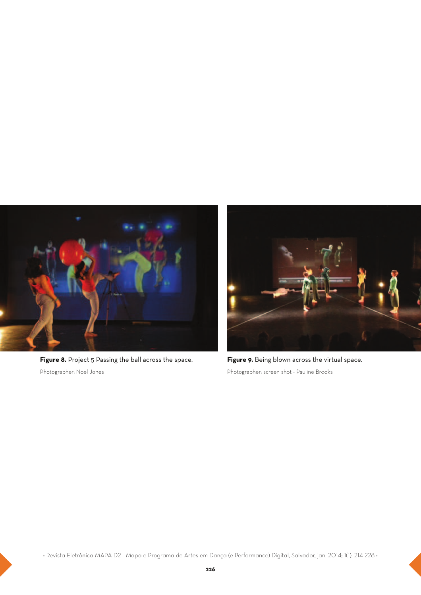

Figure 8. Project 5 Passing the ball across the space. Photographer: Noel Jones



Figure 9. Being blown across the virtual space. Photographer: screen shot - Pauline Brooks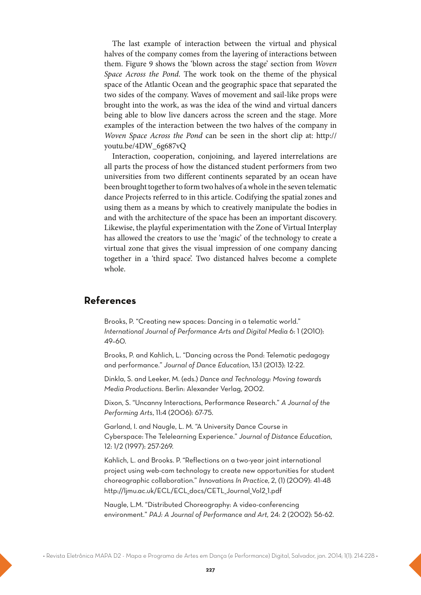The last example of interaction between the virtual and physical halves of the company comes from the layering of interactions between them. Figure 9 shows the 'blown across the stage' section from Woven Space Across the Pond. The work took on the theme of the physical space of the Atlantic Ocean and the geographic space that separated the two sides of the company. Waves of movement and sail-like props were brought into the work, as was the idea of the wind and virtual dancers being able to blow live dancers across the screen and the stage. More examples of the interaction between the two halves of the company in Woven Space Across the Pond can be seen in the short clip at: http:// youtu.be/4DW\_6g687vQ

Interaction, cooperation, conjoining, and layered interrelations are all parts the process of how the distanced student performers from two universities from two different continents separated by an ocean have been brought together to form two halves of a whole in the seven telematic dance Projects referred to in this article. Codifying the spatial zones and using them as a means by which to creatively manipulate the bodies in and with the architecture of the space has been an important discovery. Likewise, the playful experimentation with the Zone of Virtual Interplay has allowed the creators to use the 'magic' of the technology to create a virtual zone that gives the visual impression of one company dancing together in a 'third space'. Two distanced halves become a complete whole.

## **References**

Brooks, P. "Creating new spaces: Dancing in a telematic world." *International Journal of Performance Arts and Digital Media* 6: 1 (2010): 49–60.

Brooks, P. and Kahlich, L. "Dancing across the Pond: Telematic pedagogy and performance." *Journal of Dance Education*, 13:1 (2013): 12-22.

Dinkla, S. and Leeker, M. (eds.) *Dance and Technology: Moving towards Media Productions*. Berlin: Alexander Verlag, 2002.

Dixon, S. "Uncanny Interactions, Performance Research." *A Journal of the Performing Arts*, 11:4 (2006): 67-75.

Garland, I. and Naugle, L. M. "A University Dance Course in Cyberspace:The Telelearning Experience." *Journal of Distance Education,* 12: 1/2 (1997): 257-269.

Kahlich, L. and Brooks. P."Reflections on a two-year joint international project using web-cam technology to create new opportunities for student choreographic collaboration." *Innovations In Practice,*2, (1) (2009): 41-48 http://ljmu.ac.uk/ECL/ECL\_docs/CETL\_Journal\_Vol2\_1.pdf

Naugle, L.M. "Distributed Choreography: A video-conferencing environment." *PAJ: A Journal of Performance and Art,* 24: 2 (2002): 56-62.